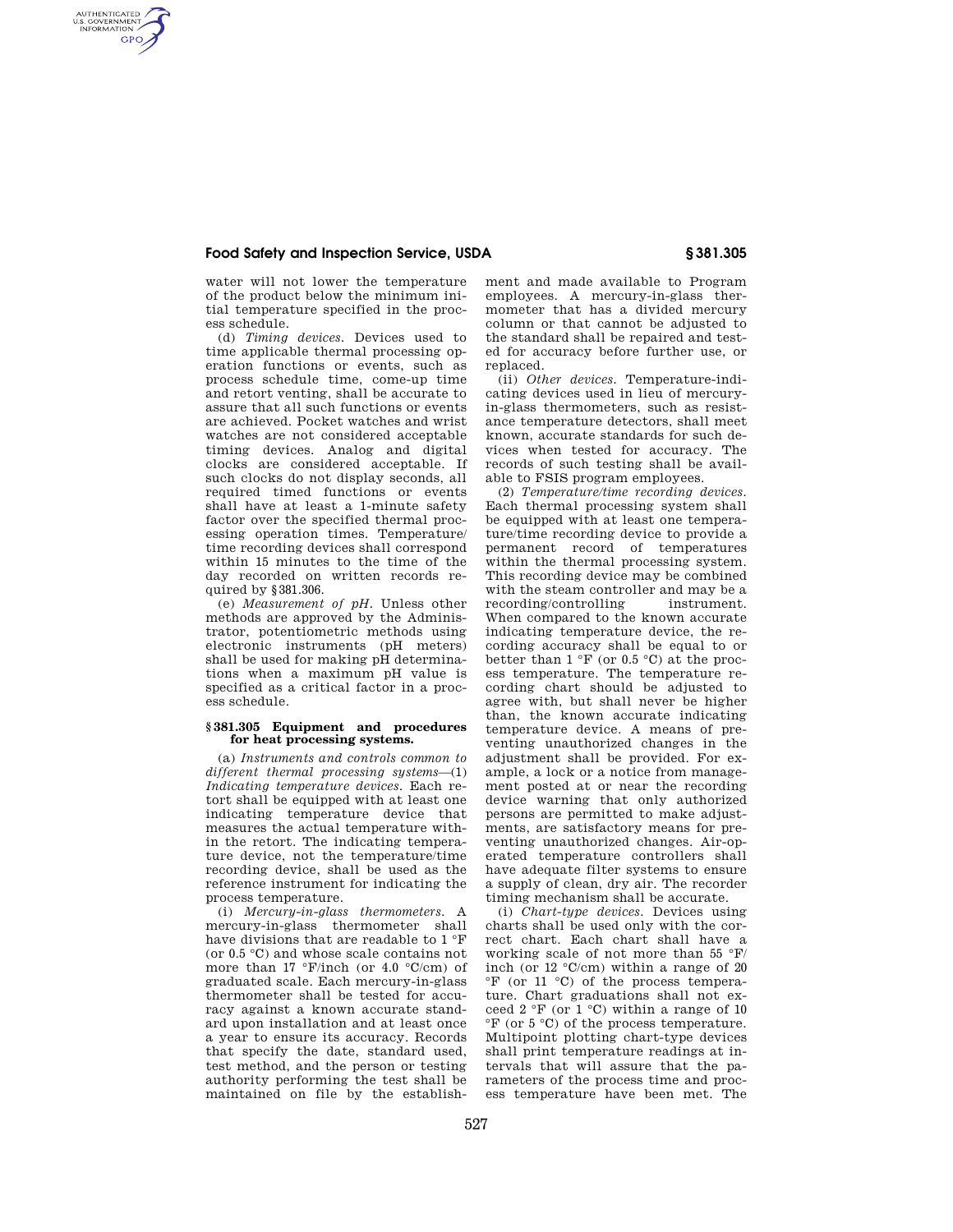AUTHENTICATED<br>U.S. GOVERNMENT<br>INFORMATION **GPO** 

water will not lower the temperature of the product below the minimum initial temperature specified in the process schedule.

(d) *Timing devices.* Devices used to time applicable thermal processing operation functions or events, such as process schedule time, come-up time and retort venting, shall be accurate to assure that all such functions or events are achieved. Pocket watches and wrist watches are not considered acceptable timing devices. Analog and digital clocks are considered acceptable. If such clocks do not display seconds, all required timed functions or events shall have at least a 1-minute safety factor over the specified thermal processing operation times. Temperature/ time recording devices shall correspond within 15 minutes to the time of the day recorded on written records required by §381.306.

(e) *Measurement of pH.* Unless other methods are approved by the Administrator, potentiometric methods using electronic instruments (pH meters) shall be used for making pH determinations when a maximum pH value is specified as a critical factor in a process schedule.

### **§ 381.305 Equipment and procedures for heat processing systems.**

(a) *Instruments and controls common to different thermal processing systems*—(1) *Indicating temperature devices.* Each retort shall be equipped with at least one indicating temperature device that measures the actual temperature within the retort. The indicating temperature device, not the temperature/time recording device, shall be used as the reference instrument for indicating the process temperature.

(i) *Mercury-in-glass thermometers.* A mercury-in-glass thermometer shall have divisions that are readable to 1 °F (or 0.5 °C) and whose scale contains not more than  $17 \text{ }^{\circ}$ F/inch (or  $4.0 \text{ }^{\circ}$ C/cm) of graduated scale. Each mercury-in-glass thermometer shall be tested for accuracy against a known accurate standard upon installation and at least once a year to ensure its accuracy. Records that specify the date, standard used, test method, and the person or testing authority performing the test shall be maintained on file by the establishment and made available to Program employees. A mercury-in-glass thermometer that has a divided mercury column or that cannot be adjusted to the standard shall be repaired and tested for accuracy before further use, or replaced.

(ii) *Other devices.* Temperature-indicating devices used in lieu of mercuryin-glass thermometers, such as resistance temperature detectors, shall meet known, accurate standards for such devices when tested for accuracy. The records of such testing shall be available to FSIS program employees.

(2) *Temperature/time recording devices.*  Each thermal processing system shall be equipped with at least one temperature/time recording device to provide a permanent record of temperatures within the thermal processing system. This recording device may be combined with the steam controller and may be a recording/controlling instrument. When compared to the known accurate indicating temperature device, the recording accuracy shall be equal to or better than  $1 \,^{\circ}$ F (or 0.5  $^{\circ}$ C) at the process temperature. The temperature recording chart should be adjusted to agree with, but shall never be higher than, the known accurate indicating temperature device. A means of preventing unauthorized changes in the adjustment shall be provided. For example, a lock or a notice from management posted at or near the recording device warning that only authorized persons are permitted to make adjustments, are satisfactory means for preventing unauthorized changes. Air-operated temperature controllers shall have adequate filter systems to ensure a supply of clean, dry air. The recorder timing mechanism shall be accurate.

(i) *Chart-type devices.* Devices using charts shall be used only with the correct chart. Each chart shall have a working scale of not more than 55 °F/ inch (or 12 °C/cm) within a range of 20 °F (or 11 °C) of the process temperature. Chart graduations shall not exceed  $2 \text{ }^{\circ}$ F (or  $1 \text{ }^{\circ}$ C) within a range of 10  ${}^{\circ}$ F (or 5  ${}^{\circ}$ C) of the process temperature. Multipoint plotting chart-type devices shall print temperature readings at intervals that will assure that the parameters of the process time and process temperature have been met. The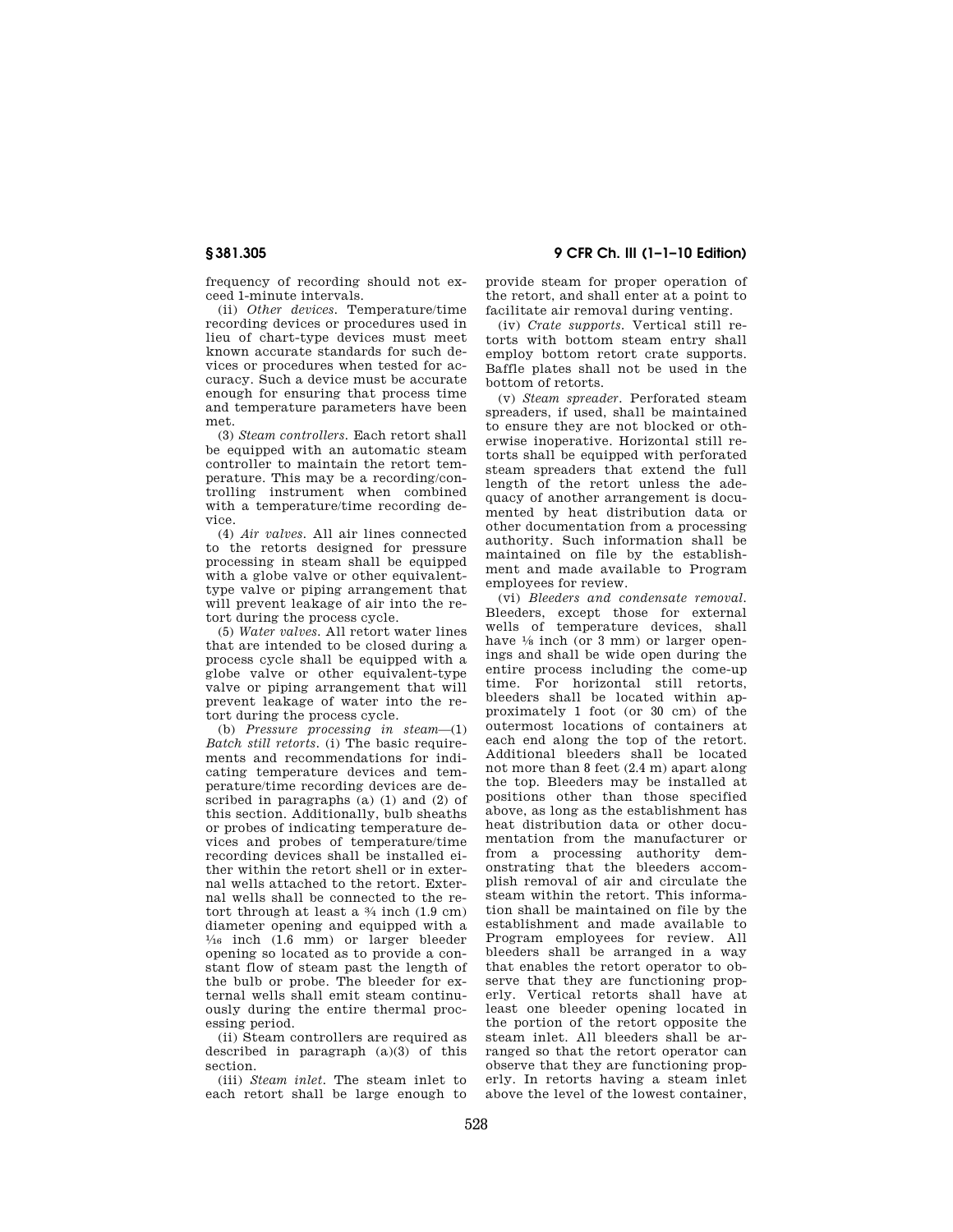**§ 381.305 9 CFR Ch. III (1–1–10 Edition)** 

frequency of recording should not exceed 1-minute intervals.

(ii) *Other devices.* Temperature/time recording devices or procedures used in lieu of chart-type devices must meet known accurate standards for such devices or procedures when tested for accuracy. Such a device must be accurate enough for ensuring that process time and temperature parameters have been met.

(3) *Steam controllers.* Each retort shall be equipped with an automatic steam controller to maintain the retort temperature. This may be a recording/controlling instrument when combined with a temperature/time recording device.

(4) *Air valves.* All air lines connected to the retorts designed for pressure processing in steam shall be equipped with a globe valve or other equivalenttype valve or piping arrangement that will prevent leakage of air into the retort during the process cycle.

(5) *Water valves.* All retort water lines that are intended to be closed during a process cycle shall be equipped with a globe valve or other equivalent-type valve or piping arrangement that will prevent leakage of water into the retort during the process cycle.

(b) *Pressure processing in steam*—(1) *Batch still retorts.* (i) The basic requirements and recommendations for indicating temperature devices and temperature/time recording devices are described in paragraphs (a) (1) and (2) of this section. Additionally, bulb sheaths or probes of indicating temperature devices and probes of temperature/time recording devices shall be installed either within the retort shell or in external wells attached to the retort. External wells shall be connected to the retort through at least a  $\frac{3}{4}$  inch (1.9 cm) diameter opening and equipped with a  $\frac{1}{16}$  inch (1.6 mm) or larger bleeder opening so located as to provide a constant flow of steam past the length of the bulb or probe. The bleeder for external wells shall emit steam continuously during the entire thermal processing period.

(ii) Steam controllers are required as described in paragraph  $(a)(3)$  of this section.

(iii) *Steam inlet.* The steam inlet to each retort shall be large enough to provide steam for proper operation of the retort, and shall enter at a point to facilitate air removal during venting.

(iv) *Crate supports.* Vertical still retorts with bottom steam entry shall employ bottom retort crate supports. Baffle plates shall not be used in the bottom of retorts.

(v) *Steam spreader.* Perforated steam spreaders, if used, shall be maintained to ensure they are not blocked or otherwise inoperative. Horizontal still retorts shall be equipped with perforated steam spreaders that extend the full length of the retort unless the adequacy of another arrangement is documented by heat distribution data or other documentation from a processing authority. Such information shall be maintained on file by the establishment and made available to Program employees for review.

(vi) *Bleeders and condensate removal.*  Bleeders, except those for external wells of temperature devices, shall have  $\frac{1}{8}$  inch (or 3 mm) or larger openings and shall be wide open during the entire process including the come-up time. For horizontal still retorts, bleeders shall be located within approximately 1 foot (or 30 cm) of the outermost locations of containers at each end along the top of the retort. Additional bleeders shall be located not more than 8 feet (2.4 m) apart along the top. Bleeders may be installed at positions other than those specified above, as long as the establishment has heat distribution data or other documentation from the manufacturer or from a processing authority demonstrating that the bleeders accomplish removal of air and circulate the steam within the retort. This information shall be maintained on file by the establishment and made available to Program employees for review. All bleeders shall be arranged in a way that enables the retort operator to observe that they are functioning properly. Vertical retorts shall have at least one bleeder opening located in the portion of the retort opposite the steam inlet. All bleeders shall be arranged so that the retort operator can observe that they are functioning properly. In retorts having a steam inlet above the level of the lowest container,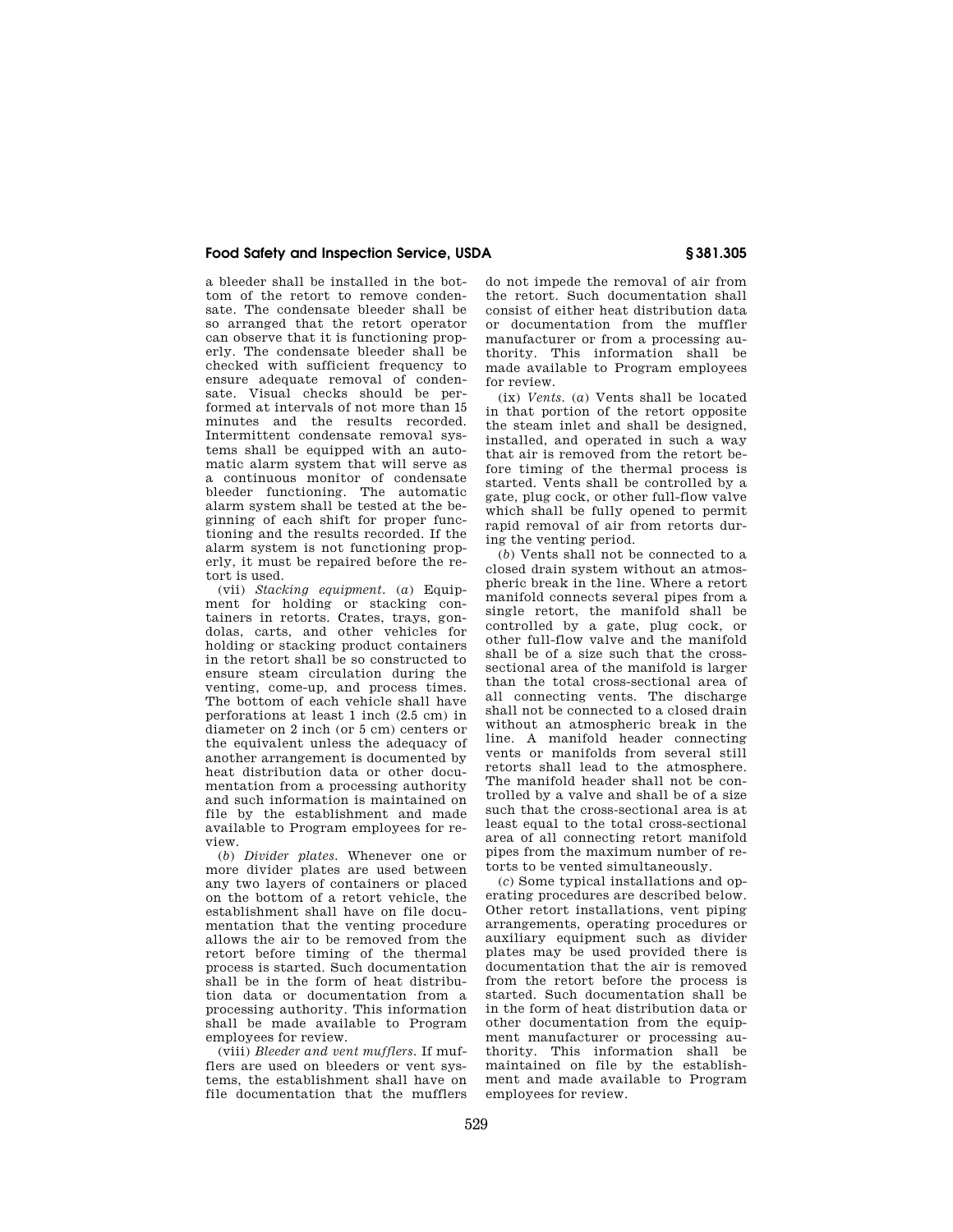a bleeder shall be installed in the bottom of the retort to remove condensate. The condensate bleeder shall be so arranged that the retort operator can observe that it is functioning properly. The condensate bleeder shall be checked with sufficient frequency to ensure adequate removal of condensate. Visual checks should be performed at intervals of not more than 15 minutes and the results recorded. Intermittent condensate removal systems shall be equipped with an automatic alarm system that will serve as a continuous monitor of condensate bleeder functioning. The automatic alarm system shall be tested at the beginning of each shift for proper functioning and the results recorded. If the alarm system is not functioning properly, it must be repaired before the retort is used.

(vii) *Stacking equipment.* (*a*) Equipment for holding or stacking containers in retorts. Crates, trays, gondolas, carts, and other vehicles for holding or stacking product containers in the retort shall be so constructed to ensure steam circulation during the venting, come-up, and process times. The bottom of each vehicle shall have perforations at least 1 inch (2.5 cm) in diameter on 2 inch (or 5 cm) centers or the equivalent unless the adequacy of another arrangement is documented by heat distribution data or other documentation from a processing authority and such information is maintained on file by the establishment and made available to Program employees for review.

(*b*) *Divider plates.* Whenever one or more divider plates are used between any two layers of containers or placed on the bottom of a retort vehicle, the establishment shall have on file documentation that the venting procedure allows the air to be removed from the retort before timing of the thermal process is started. Such documentation shall be in the form of heat distribution data or documentation from a processing authority. This information shall be made available to Program employees for review.

(viii) *Bleeder and vent mufflers.* If mufflers are used on bleeders or vent systems, the establishment shall have on file documentation that the mufflers

do not impede the removal of air from the retort. Such documentation shall consist of either heat distribution data or documentation from the muffler manufacturer or from a processing authority. This information shall be made available to Program employees for review.

(ix) *Vents.* (*a*) Vents shall be located in that portion of the retort opposite the steam inlet and shall be designed, installed, and operated in such a way that air is removed from the retort before timing of the thermal process is started. Vents shall be controlled by a gate, plug cock, or other full-flow valve which shall be fully opened to permit rapid removal of air from retorts during the venting period.

(*b*) Vents shall not be connected to a closed drain system without an atmospheric break in the line. Where a retort manifold connects several pipes from a single retort, the manifold shall be controlled by a gate, plug cock, or other full-flow valve and the manifold shall be of a size such that the crosssectional area of the manifold is larger than the total cross-sectional area of all connecting vents. The discharge shall not be connected to a closed drain without an atmospheric break in the line. A manifold header connecting vents or manifolds from several still retorts shall lead to the atmosphere. The manifold header shall not be controlled by a valve and shall be of a size such that the cross-sectional area is at least equal to the total cross-sectional area of all connecting retort manifold pipes from the maximum number of retorts to be vented simultaneously.

(*c*) Some typical installations and operating procedures are described below. Other retort installations, vent piping arrangements, operating procedures or auxiliary equipment such as divider plates may be used provided there is documentation that the air is removed from the retort before the process is started. Such documentation shall be in the form of heat distribution data or other documentation from the equipment manufacturer or processing authority. This information shall be maintained on file by the establishment and made available to Program employees for review.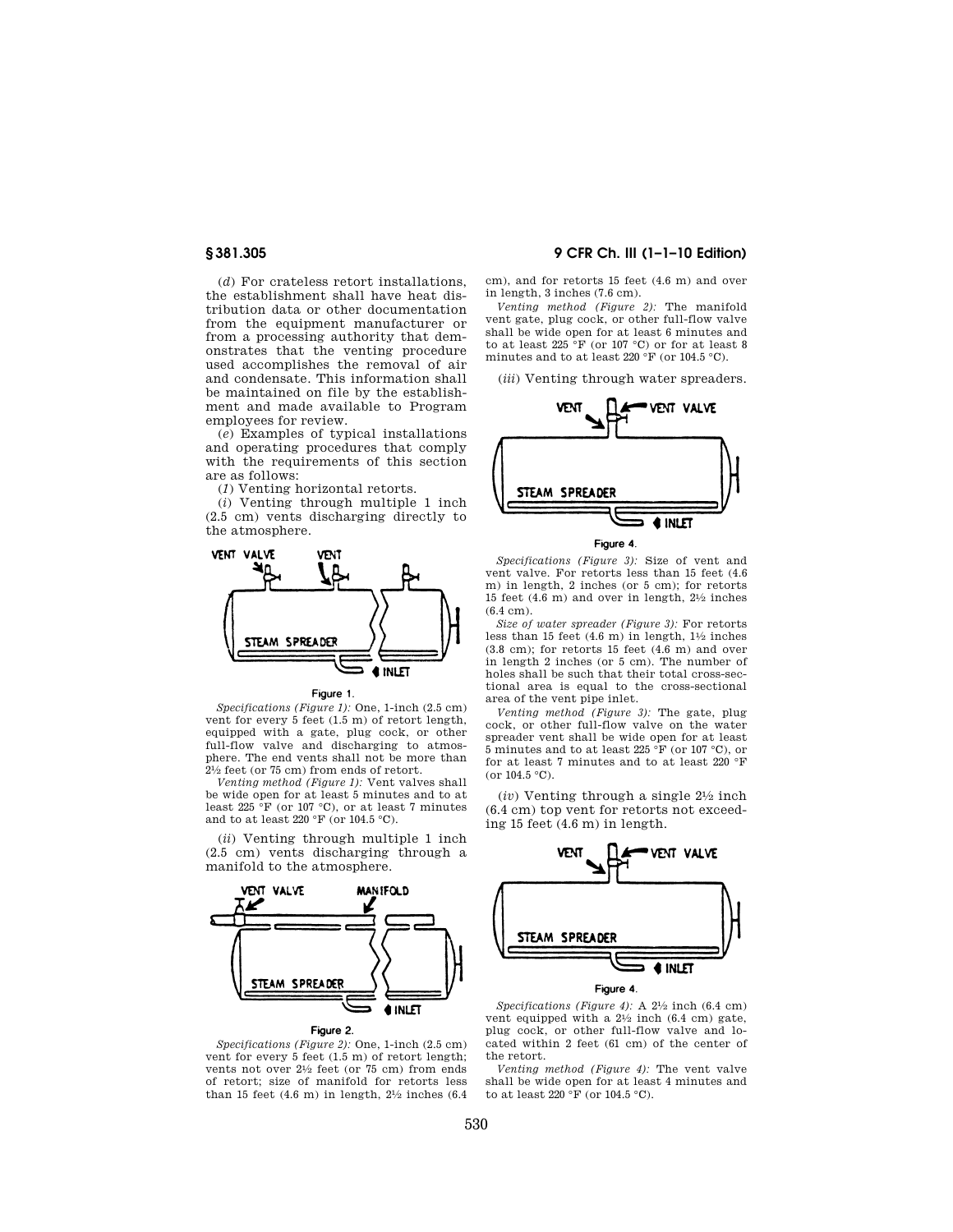(*d*) For crateless retort installations, the establishment shall have heat distribution data or other documentation from the equipment manufacturer or from a processing authority that demonstrates that the venting procedure used accomplishes the removal of air and condensate. This information shall be maintained on file by the establishment and made available to Program employees for review.

(*e*) Examples of typical installations and operating procedures that comply with the requirements of this section are as follows:

(*1*) Venting horizontal retorts.

(*i*) Venting through multiple 1 inch (2.5 cm) vents discharging directly to the atmosphere.





*Specifications (Figure 1):* One, 1-inch (2.5 cm) vent for every 5 feet (1.5 m) of retort length, equipped with a gate, plug cock, or other full-flow valve and discharging to atmosphere. The end vents shall not be more than 21⁄2 feet (or 75 cm) from ends of retort.

*Venting method (Figure 1):* Vent valves shall be wide open for at least 5 minutes and to at least 225 °F (or 107 °C), or at least 7 minutes and to at least 220  $^{\circ} \mathrm{F}$  (or 104.5  $^{\circ} \mathrm{C}$ ).

(*ii*) Venting through multiple 1 inch (2.5 cm) vents discharging through a manifold to the atmosphere.



### Figure 2.

*Specifications (Figure 2):* One, 1-inch (2.5 cm) vent for every 5 feet (1.5 m) of retort length; vents not over 21/2 feet (or 75 cm) from ends of retort; size of manifold for retorts less than 15 feet  $(4.6 \text{ m})$  in length,  $2\frac{1}{2}$  inches  $(6.4 \text{ m})$ 

# **§ 381.305 9 CFR Ch. III (1–1–10 Edition)**

cm), and for retorts 15 feet (4.6 m) and over in length, 3 inches (7.6 cm).

*Venting method (Figure 2):* The manifold vent gate, plug cock, or other full-flow valve shall be wide open for at least 6 minutes and to at least  $225 \text{ }^\circ \text{F}$  (or 107 °C) or for at least 8 minutes and to at least 220  $\mathrm{^{\circ}F}$  (or 104.5  $\mathrm{^{\circ}C}$ ).

(*iii*) Venting through water spreaders.



Figure 4.

*Specifications (Figure 3):* Size of vent and vent valve. For retorts less than 15 feet (4.6 m) in length, 2 inches (or 5 cm); for retorts 15 feet (4.6 m) and over in length, 21⁄2 inches (6.4 cm).

*Size of water spreader (Figure 3):* For retorts less than 15 feet  $(4.6 \text{ m})$  in length,  $1\frac{1}{2}$  inches (3.8 cm); for retorts 15 feet (4.6 m) and over in length 2 inches (or 5 cm). The number of holes shall be such that their total cross-sectional area is equal to the cross-sectional area of the vent pipe inlet.

*Venting method (Figure 3):* The gate, plug cock, or other full-flow valve on the water spreader vent shall be wide open for at least 5 minutes and to at least 225 °F (or 107 °C), or for at least 7 minutes and to at least 220 °F  $(or 104.5 °C)$ .

(*iv*) Venting through a single 21⁄2 inch (6.4 cm) top vent for retorts not exceeding 15 feet (4.6 m) in length.



Figure 4.

*Specifications (Figure 4):* A 21⁄2 inch (6.4 cm) vent equipped with a  $2\frac{1}{2}$  inch (6.4 cm) gate, plug cock, or other full-flow valve and located within 2 feet (61 cm) of the center of the retort.

*Venting method (Figure 4):* The vent valve shall be wide open for at least 4 minutes and to at least 220 °F (or 104.5 °C).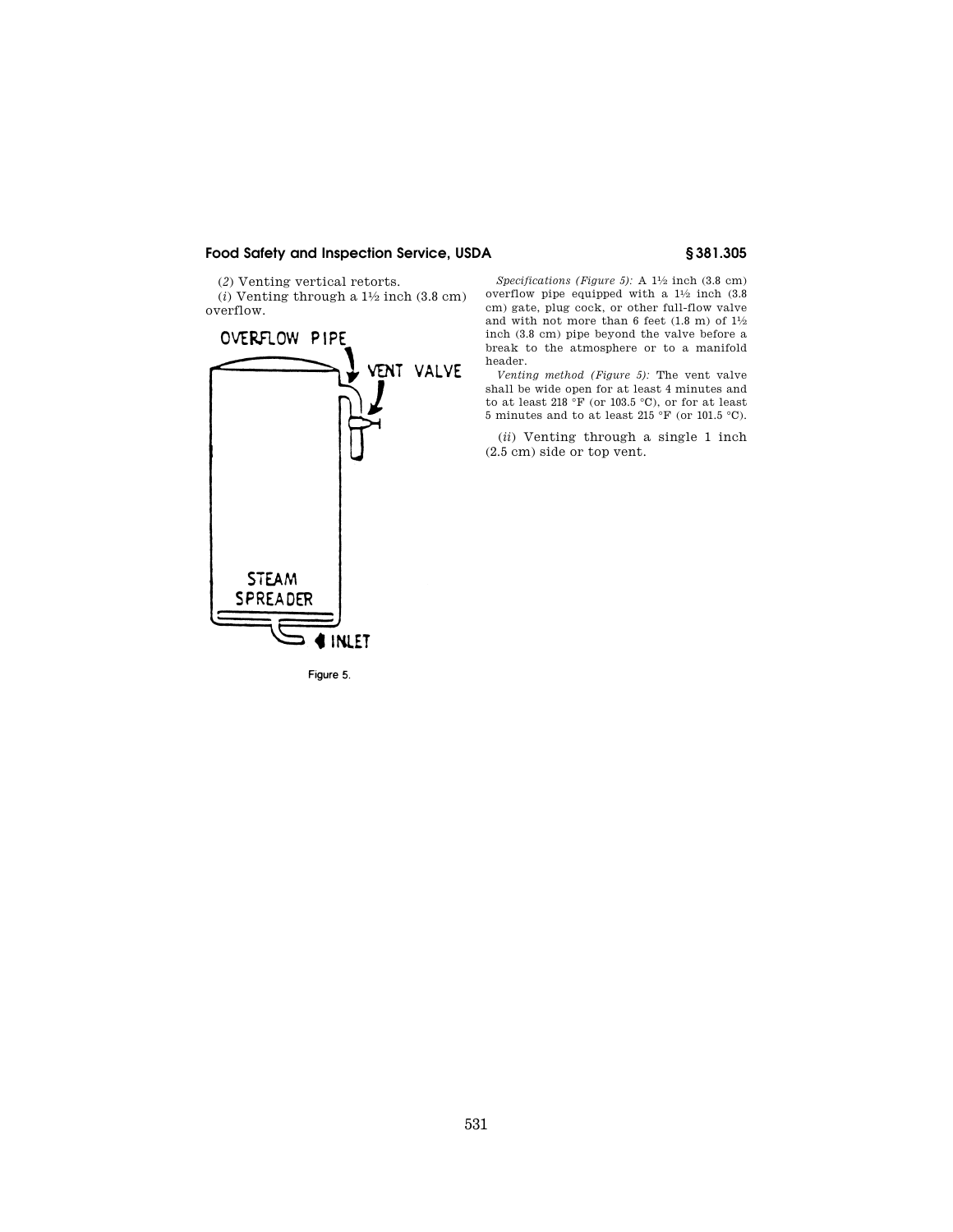(*2*) Venting vertical retorts.

 $(i)$  Venting through a  $1\frac{1}{2}$  inch  $(3.8 \text{ cm})$ overflow.



Figure 5.

*Specifications (Figure 5):* A 11⁄2 inch (3.8 cm) overflow pipe equipped with a  $1\frac{1}{2}$  inch  $(3.8)$ cm) gate, plug cock, or other full-flow valve and with not more than 6 feet  $(1.8 \text{ m})$  of  $1\frac{1}{2}$ inch (3.8 cm) pipe beyond the valve before a break to the atmosphere or to a manifold header.

*Venting method (Figure 5):* The vent valve shall be wide open for at least 4 minutes and to at least 218  $^{\circ}\rm{F}$  (or 103.5  $^{\circ}\rm{C}),$  or for at least 5 minutes and to at least 215 °F (or 101.5 °C).

(*ii*) Venting through a single 1 inch (2.5 cm) side or top vent.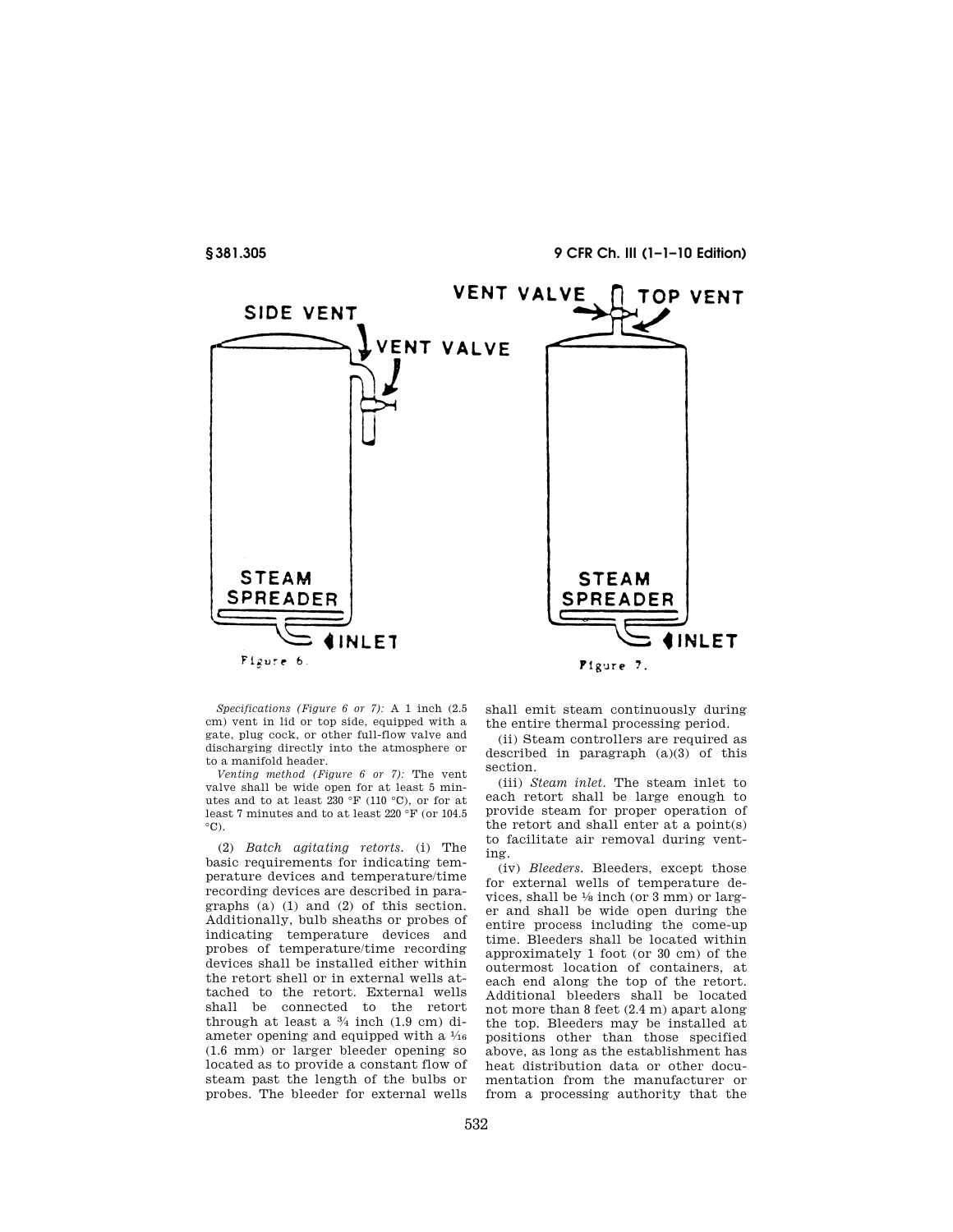**§ 381.305 9 CFR Ch. III (1–1–10 Edition)** 



*Specifications (Figure 6 or 7):* A 1 inch (2.5 cm) vent in lid or top side, equipped with a gate, plug cock, or other full-flow valve and discharging directly into the atmosphere or to a manifold header.

*Venting method (Figure 6 or 7):* The vent valve shall be wide open for at least 5 minutes and to at least 230 °F (110 °C), or for at least 7 minutes and to at least 220 °F (or 104.5  $^{\circ}$ C).

(2) *Batch agitating retorts.* (i) The basic requirements for indicating temperature devices and temperature/time recording devices are described in paragraphs (a) (1) and (2) of this section. Additionally, bulb sheaths or probes of indicating temperature devices and probes of temperature/time recording devices shall be installed either within the retort shell or in external wells attached to the retort. External wells shall be connected to the retort through at least a 3⁄4 inch (1.9 cm) diameter opening and equipped with a 1⁄16 (1.6 mm) or larger bleeder opening so located as to provide a constant flow of steam past the length of the bulbs or probes. The bleeder for external wells

shall emit steam continuously during the entire thermal processing period.

(ii) Steam controllers are required as described in paragraph  $(a)(3)$  of this section.

(iii) *Steam inlet.* The steam inlet to each retort shall be large enough to provide steam for proper operation of the retort and shall enter at a point(s) to facilitate air removal during venting.

(iv) *Bleeders.* Bleeders, except those for external wells of temperature devices, shall be  $\frac{1}{8}$  inch (or 3 mm) or larger and shall be wide open during the entire process including the come-up time. Bleeders shall be located within approximately 1 foot (or 30 cm) of the outermost location of containers, at each end along the top of the retort. Additional bleeders shall be located not more than 8 feet (2.4 m) apart along the top. Bleeders may be installed at positions other than those specified above, as long as the establishment has heat distribution data or other documentation from the manufacturer or from a processing authority that the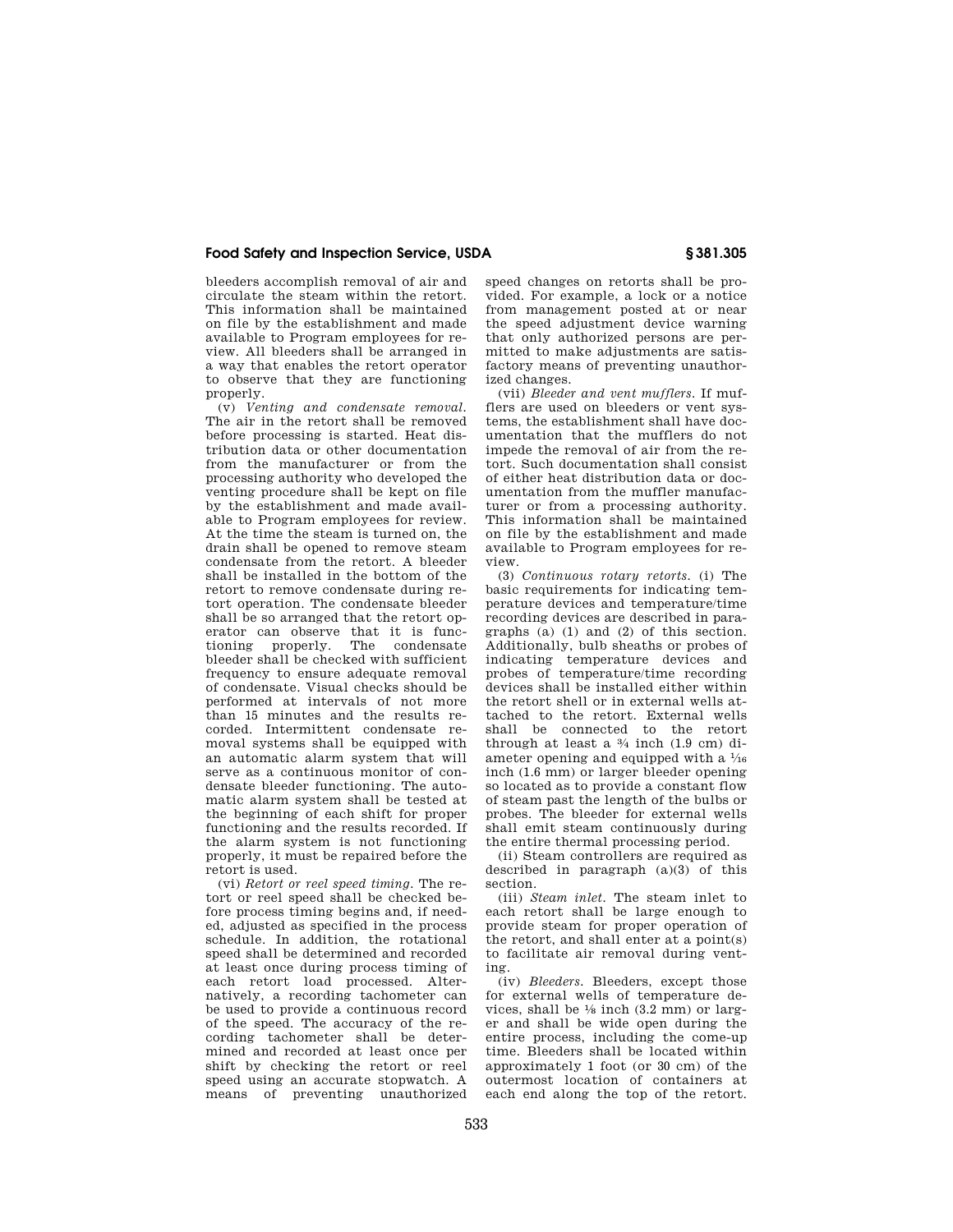bleeders accomplish removal of air and circulate the steam within the retort. This information shall be maintained on file by the establishment and made available to Program employees for review. All bleeders shall be arranged in a way that enables the retort operator to observe that they are functioning properly.

(v) *Venting and condensate removal.*  The air in the retort shall be removed before processing is started. Heat distribution data or other documentation from the manufacturer or from the processing authority who developed the venting procedure shall be kept on file by the establishment and made available to Program employees for review. At the time the steam is turned on, the drain shall be opened to remove steam condensate from the retort. A bleeder shall be installed in the bottom of the retort to remove condensate during retort operation. The condensate bleeder shall be so arranged that the retort operator can observe that it is functioning properly. The condensate bleeder shall be checked with sufficient frequency to ensure adequate removal of condensate. Visual checks should be performed at intervals of not more than 15 minutes and the results recorded. Intermittent condensate removal systems shall be equipped with an automatic alarm system that will serve as a continuous monitor of condensate bleeder functioning. The automatic alarm system shall be tested at the beginning of each shift for proper functioning and the results recorded. If the alarm system is not functioning properly, it must be repaired before the retort is used.

(vi) *Retort or reel speed timing.* The retort or reel speed shall be checked before process timing begins and, if needed, adjusted as specified in the process schedule. In addition, the rotational speed shall be determined and recorded at least once during process timing of each retort load processed. Alternatively, a recording tachometer can be used to provide a continuous record of the speed. The accuracy of the recording tachometer shall be determined and recorded at least once per shift by checking the retort or reel speed using an accurate stopwatch. A means of preventing unauthorized

speed changes on retorts shall be provided. For example, a lock or a notice from management posted at or near the speed adjustment device warning that only authorized persons are permitted to make adjustments are satisfactory means of preventing unauthorized changes.

(vii) *Bleeder and vent mufflers.* If mufflers are used on bleeders or vent systems, the establishment shall have documentation that the mufflers do not impede the removal of air from the retort. Such documentation shall consist of either heat distribution data or documentation from the muffler manufacturer or from a processing authority. This information shall be maintained on file by the establishment and made available to Program employees for review.

(3) *Continuous rotary retorts.* (i) The basic requirements for indicating temperature devices and temperature/time recording devices are described in paragraphs (a) (1) and (2) of this section. Additionally, bulb sheaths or probes of indicating temperature devices and probes of temperature/time recording devices shall be installed either within the retort shell or in external wells attached to the retort. External wells shall be connected to the retort through at least a  $\frac{3}{4}$  inch (1.9 cm) diameter opening and equipped with a  $\frac{1}{16}$ inch (1.6 mm) or larger bleeder opening so located as to provide a constant flow of steam past the length of the bulbs or probes. The bleeder for external wells shall emit steam continuously during the entire thermal processing period.

(ii) Steam controllers are required as described in paragraph  $(a)(3)$  of this section.

(iii) *Steam inlet.* The steam inlet to each retort shall be large enough to provide steam for proper operation of the retort, and shall enter at a point(s) to facilitate air removal during venting.

(iv) *Bleeders.* Bleeders, except those for external wells of temperature devices, shall be  $\frac{1}{8}$  inch (3.2 mm) or larger and shall be wide open during the entire process, including the come-up time. Bleeders shall be located within approximately 1 foot (or 30 cm) of the outermost location of containers at each end along the top of the retort.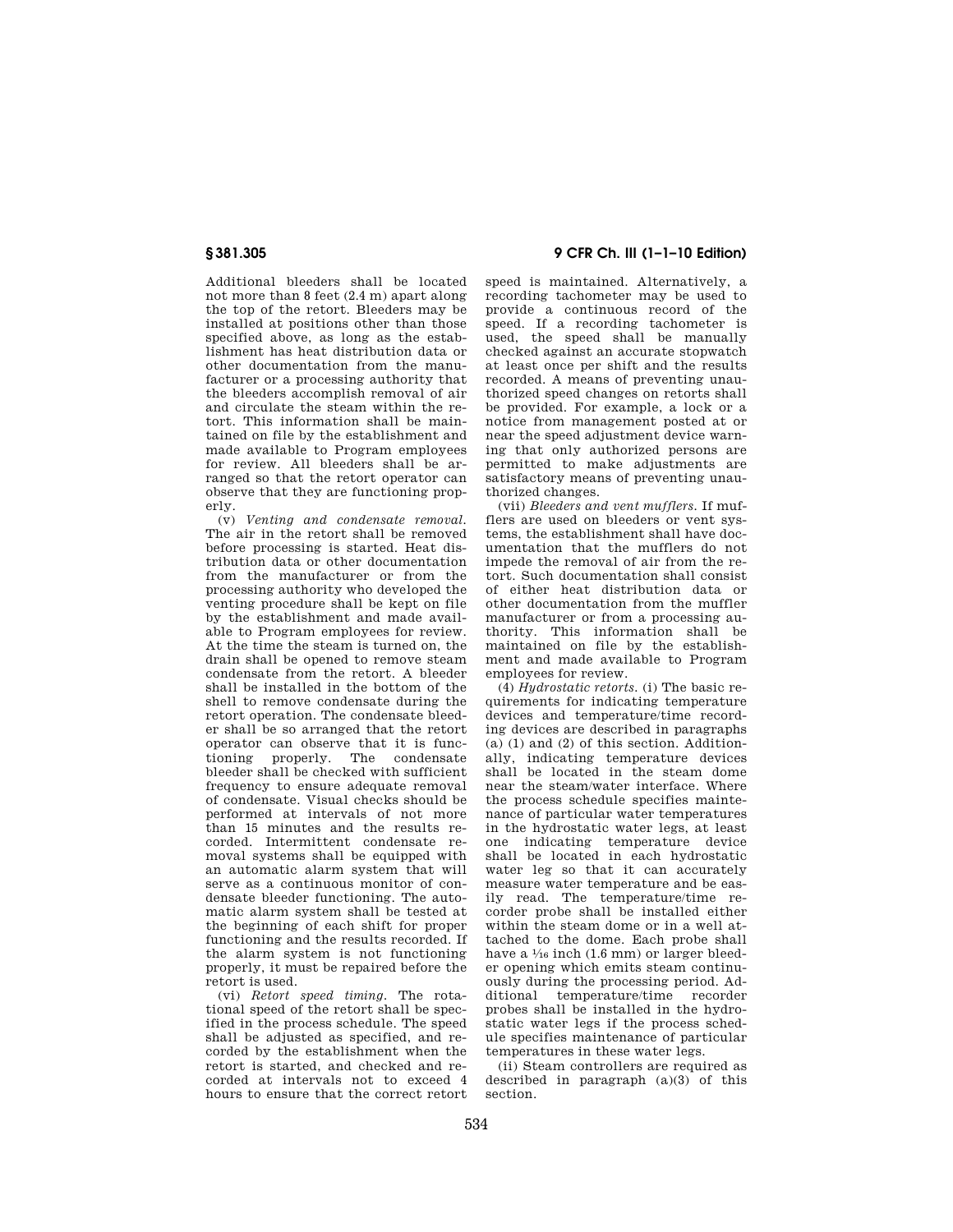Additional bleeders shall be located not more than 8 feet (2.4 m) apart along the top of the retort. Bleeders may be installed at positions other than those specified above, as long as the establishment has heat distribution data or other documentation from the manufacturer or a processing authority that the bleeders accomplish removal of air and circulate the steam within the retort. This information shall be maintained on file by the establishment and made available to Program employees for review. All bleeders shall be arranged so that the retort operator can observe that they are functioning properly.

(v) *Venting and condensate removal.*  The air in the retort shall be removed before processing is started. Heat distribution data or other documentation from the manufacturer or from the processing authority who developed the venting procedure shall be kept on file by the establishment and made available to Program employees for review. At the time the steam is turned on, the drain shall be opened to remove steam condensate from the retort. A bleeder shall be installed in the bottom of the shell to remove condensate during the retort operation. The condensate bleeder shall be so arranged that the retort operator can observe that it is functioning properly. The condensate bleeder shall be checked with sufficient frequency to ensure adequate removal of condensate. Visual checks should be performed at intervals of not more than 15 minutes and the results recorded. Intermittent condensate removal systems shall be equipped with an automatic alarm system that will serve as a continuous monitor of condensate bleeder functioning. The automatic alarm system shall be tested at the beginning of each shift for proper functioning and the results recorded. If the alarm system is not functioning properly, it must be repaired before the retort is used.

(vi) *Retort speed timing.* The rotational speed of the retort shall be specified in the process schedule. The speed shall be adjusted as specified, and recorded by the establishment when the retort is started, and checked and recorded at intervals not to exceed 4 hours to ensure that the correct retort

## **§ 381.305 9 CFR Ch. III (1–1–10 Edition)**

speed is maintained. Alternatively, a recording tachometer may be used to provide a continuous record of the speed. If a recording tachometer is used, the speed shall be manually checked against an accurate stopwatch at least once per shift and the results recorded. A means of preventing unauthorized speed changes on retorts shall be provided. For example, a lock or a notice from management posted at or near the speed adjustment device warning that only authorized persons are permitted to make adjustments are satisfactory means of preventing unauthorized changes.

(vii) *Bleeders and vent mufflers.* If mufflers are used on bleeders or vent systems, the establishment shall have documentation that the mufflers do not impede the removal of air from the retort. Such documentation shall consist of either heat distribution data or other documentation from the muffler manufacturer or from a processing authority. This information shall be maintained on file by the establishment and made available to Program employees for review.

(4) *Hydrostatic retorts.* (i) The basic requirements for indicating temperature devices and temperature/time recording devices are described in paragraphs (a) (1) and (2) of this section. Additionally, indicating temperature devices shall be located in the steam dome near the steam/water interface. Where the process schedule specifies maintenance of particular water temperatures in the hydrostatic water legs, at least one indicating temperature device shall be located in each hydrostatic water leg so that it can accurately measure water temperature and be easily read. The temperature/time recorder probe shall be installed either within the steam dome or in a well attached to the dome. Each probe shall have a  $\frac{1}{16}$  inch (1.6 mm) or larger bleeder opening which emits steam continuously during the processing period. Additional temperature/time recorder probes shall be installed in the hydrostatic water legs if the process schedule specifies maintenance of particular temperatures in these water legs.

(ii) Steam controllers are required as described in paragraph (a)(3) of this section.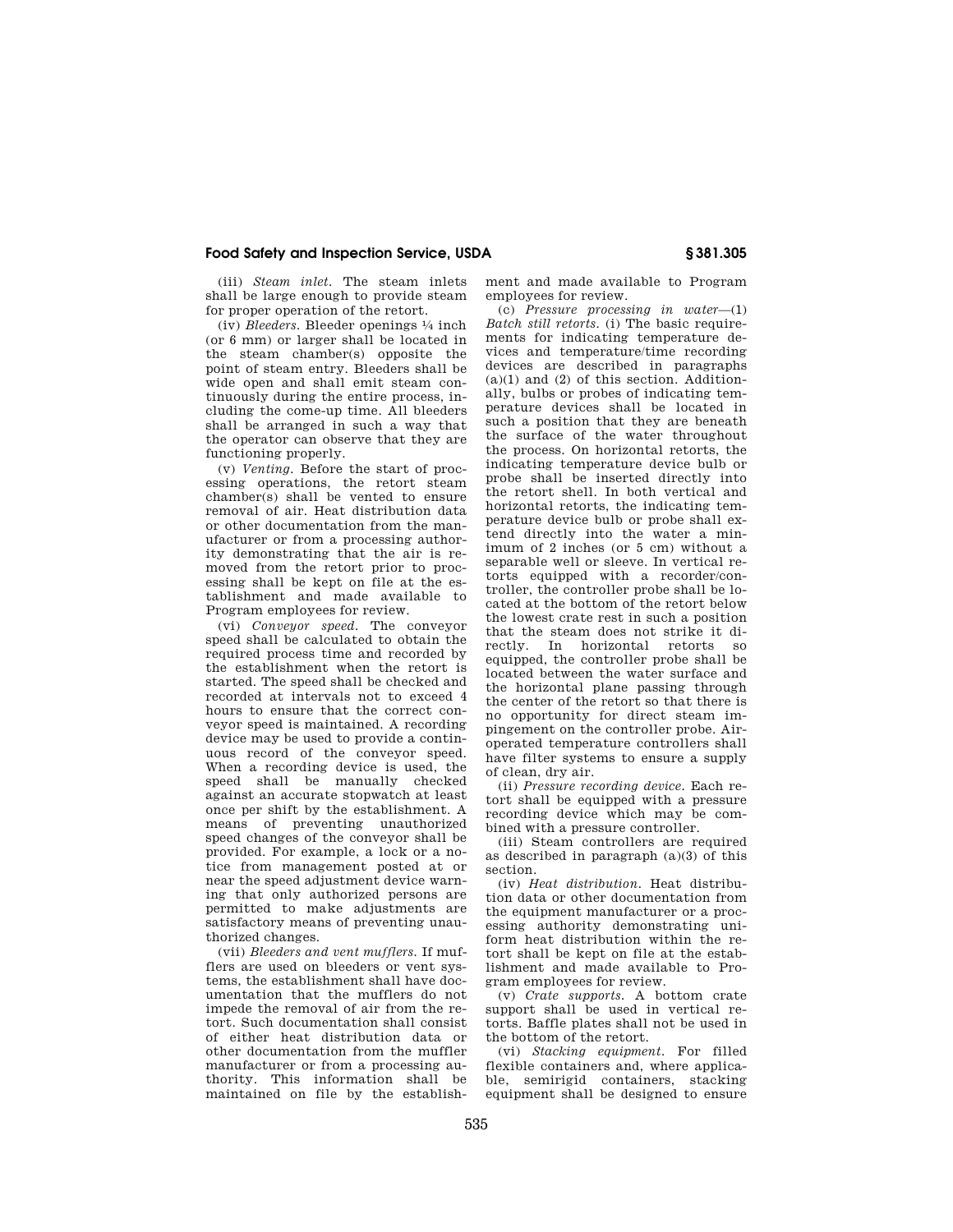(iii) *Steam inlet.* The steam inlets shall be large enough to provide steam for proper operation of the retort.

(iv) *Bleeders.* Bleeder openings 1⁄4 inch (or 6 mm) or larger shall be located in the steam chamber(s) opposite the point of steam entry. Bleeders shall be wide open and shall emit steam continuously during the entire process, including the come-up time. All bleeders shall be arranged in such a way that the operator can observe that they are functioning properly.

(v) *Venting.* Before the start of processing operations, the retort steam chamber(s) shall be vented to ensure removal of air. Heat distribution data or other documentation from the manufacturer or from a processing authority demonstrating that the air is removed from the retort prior to processing shall be kept on file at the establishment and made available to Program employees for review.

(vi) *Conveyor speed.* The conveyor speed shall be calculated to obtain the required process time and recorded by the establishment when the retort is started. The speed shall be checked and recorded at intervals not to exceed 4 hours to ensure that the correct conveyor speed is maintained. A recording device may be used to provide a continuous record of the conveyor speed. When a recording device is used, the speed shall be manually checked against an accurate stopwatch at least once per shift by the establishment. A means of preventing unauthorized speed changes of the conveyor shall be provided. For example, a lock or a notice from management posted at or near the speed adjustment device warning that only authorized persons are permitted to make adjustments are satisfactory means of preventing unauthorized changes.

(vii) *Bleeders and vent mufflers.* If mufflers are used on bleeders or vent systems, the establishment shall have documentation that the mufflers do not impede the removal of air from the retort. Such documentation shall consist of either heat distribution data or other documentation from the muffler manufacturer or from a processing authority. This information shall be maintained on file by the establishment and made available to Program employees for review.

(c) *Pressure processing in water*—(1) *Batch still retorts.* (i) The basic requirements for indicating temperature devices and temperature/time recording devices are described in paragraphs  $(a)(1)$  and  $(2)$  of this section. Additionally, bulbs or probes of indicating temperature devices shall be located in such a position that they are beneath the surface of the water throughout the process. On horizontal retorts, the indicating temperature device bulb or probe shall be inserted directly into the retort shell. In both vertical and horizontal retorts, the indicating temperature device bulb or probe shall extend directly into the water a minimum of 2 inches (or 5 cm) without a separable well or sleeve. In vertical retorts equipped with a recorder/controller, the controller probe shall be located at the bottom of the retort below the lowest crate rest in such a position that the steam does not strike it directly. In horizontal retorts so equipped, the controller probe shall be located between the water surface and the horizontal plane passing through the center of the retort so that there is no opportunity for direct steam impingement on the controller probe. Airoperated temperature controllers shall have filter systems to ensure a supply of clean, dry air.

(ii) *Pressure recording device.* Each retort shall be equipped with a pressure recording device which may be combined with a pressure controller.

(iii) Steam controllers are required as described in paragraph (a)(3) of this section.

(iv) *Heat distribution.* Heat distribution data or other documentation from the equipment manufacturer or a processing authority demonstrating uniform heat distribution within the retort shall be kept on file at the establishment and made available to Program employees for review.

(v) *Crate supports.* A bottom crate support shall be used in vertical retorts. Baffle plates shall not be used in the bottom of the retort.

(vi) *Stacking equipment.* For filled flexible containers and, where applicable, semirigid containers, stacking equipment shall be designed to ensure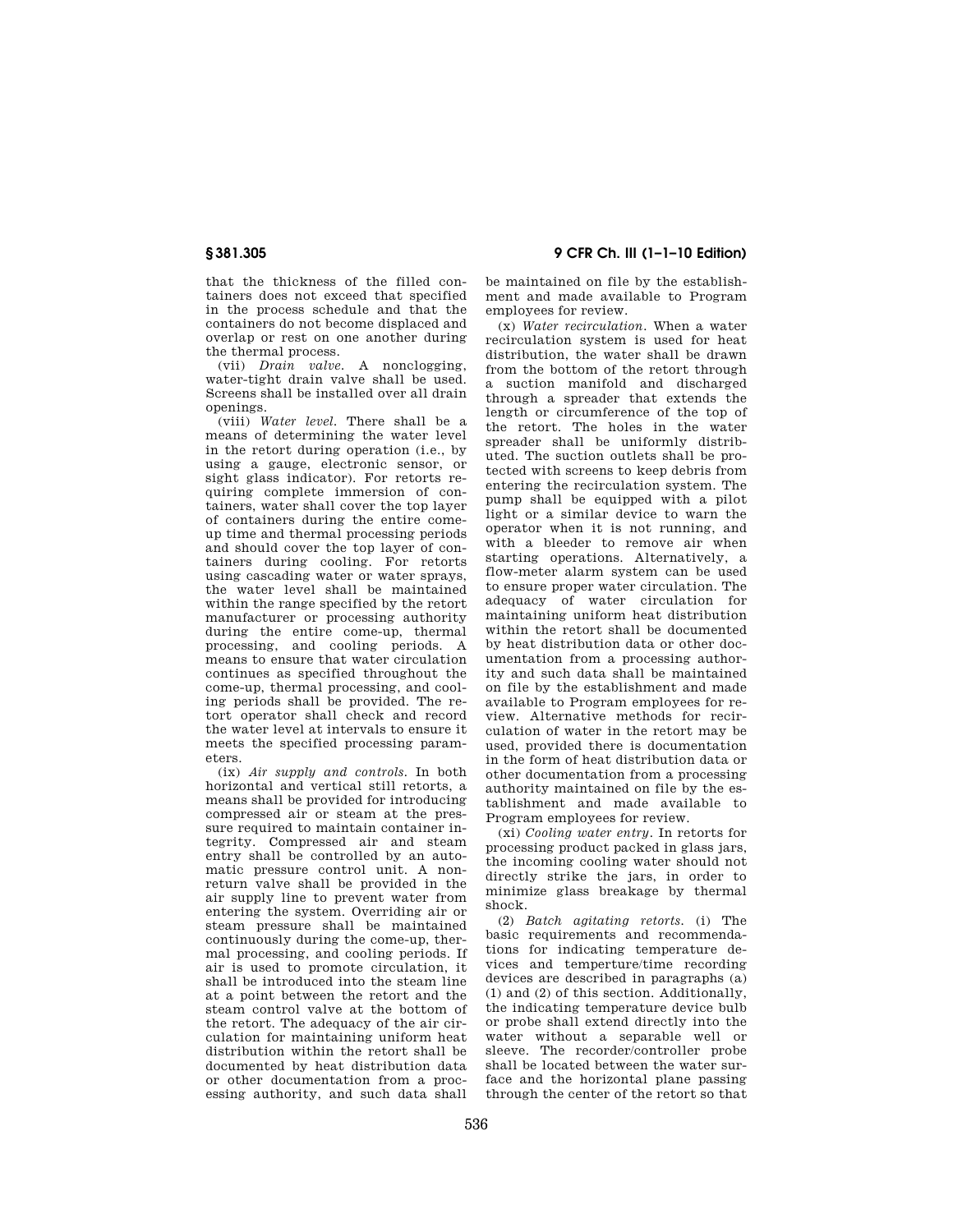that the thickness of the filled containers does not exceed that specified in the process schedule and that the containers do not become displaced and overlap or rest on one another during the thermal process.

(vii) *Drain valve.* A nonclogging, water-tight drain valve shall be used. Screens shall be installed over all drain openings.

(viii) *Water level.* There shall be a means of determining the water level in the retort during operation  $(i.e., by)$ using a gauge, electronic sensor, or sight glass indicator). For retorts requiring complete immersion of containers, water shall cover the top layer of containers during the entire comeup time and thermal processing periods and should cover the top layer of containers during cooling. For retorts using cascading water or water sprays, the water level shall be maintained within the range specified by the retort manufacturer or processing authority during the entire come-up, thermal processing, and cooling periods. A means to ensure that water circulation continues as specified throughout the come-up, thermal processing, and cooling periods shall be provided. The retort operator shall check and record the water level at intervals to ensure it meets the specified processing parameters.

(ix) *Air supply and controls.* In both horizontal and vertical still retorts, a means shall be provided for introducing compressed air or steam at the pressure required to maintain container integrity. Compressed air and steam entry shall be controlled by an automatic pressure control unit. A nonreturn valve shall be provided in the air supply line to prevent water from entering the system. Overriding air or steam pressure shall be maintained continuously during the come-up, thermal processing, and cooling periods. If air is used to promote circulation, it shall be introduced into the steam line at a point between the retort and the steam control valve at the bottom of the retort. The adequacy of the air circulation for maintaining uniform heat distribution within the retort shall be documented by heat distribution data or other documentation from a processing authority, and such data shall

**§ 381.305 9 CFR Ch. III (1–1–10 Edition)** 

be maintained on file by the establishment and made available to Program employees for review.

(x) *Water recirculation.* When a water recirculation system is used for heat distribution, the water shall be drawn from the bottom of the retort through a suction manifold and discharged through a spreader that extends the length or circumference of the top of the retort. The holes in the water spreader shall be uniformly distributed. The suction outlets shall be protected with screens to keep debris from entering the recirculation system. The pump shall be equipped with a pilot light or a similar device to warn the operator when it is not running, and with a bleeder to remove air when starting operations. Alternatively, a flow-meter alarm system can be used to ensure proper water circulation. The adequacy of water circulation for maintaining uniform heat distribution within the retort shall be documented by heat distribution data or other documentation from a processing authority and such data shall be maintained on file by the establishment and made available to Program employees for review. Alternative methods for recirculation of water in the retort may be used, provided there is documentation in the form of heat distribution data or other documentation from a processing authority maintained on file by the establishment and made available to Program employees for review.

(xi) *Cooling water entry.* In retorts for processing product packed in glass jars, the incoming cooling water should not directly strike the jars, in order to minimize glass breakage by thermal shock.

(2) *Batch agitating retorts.* (i) The basic requirements and recommendations for indicating temperature devices and temperture/time recording devices are described in paragraphs (a) (1) and (2) of this section. Additionally, the indicating temperature device bulb or probe shall extend directly into the water without a separable well or sleeve. The recorder/controller probe shall be located between the water surface and the horizontal plane passing through the center of the retort so that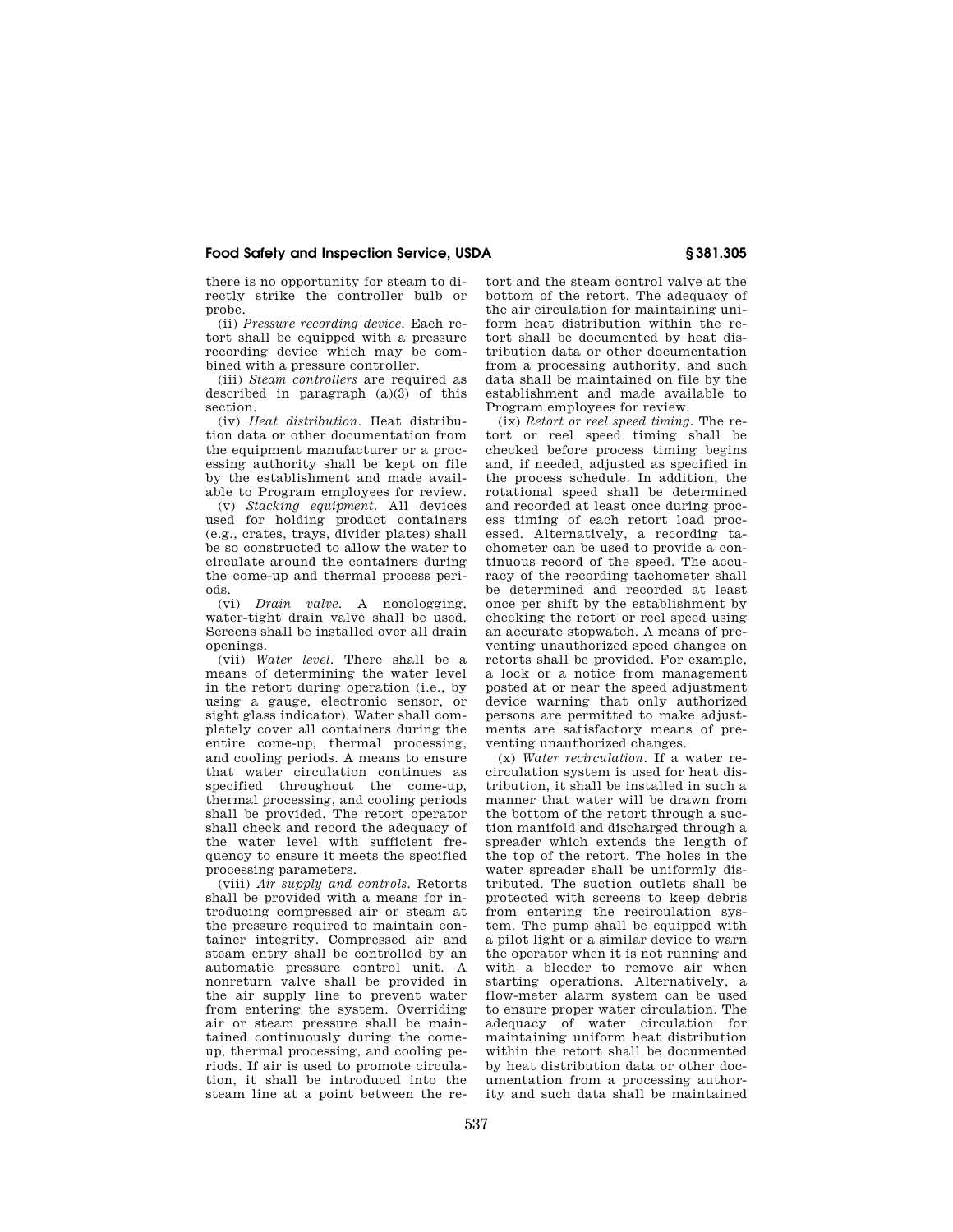there is no opportunity for steam to directly strike the controller bulb or probe.

(ii) *Pressure recording device.* Each retort shall be equipped with a pressure recording device which may be combined with a pressure controller.

(iii) *Steam controllers* are required as described in paragraph  $(a)(3)$  of this section.

(iv) *Heat distribution.* Heat distribution data or other documentation from the equipment manufacturer or a processing authority shall be kept on file by the establishment and made available to Program employees for review.

(v) *Stacking equipment.* All devices used for holding product containers (e.g., crates, trays, divider plates) shall be so constructed to allow the water to circulate around the containers during the come-up and thermal process periods.

(vi) *Drain valve.* A nonclogging, water-tight drain valve shall be used. Screens shall be installed over all drain openings.

(vii) *Water level.* There shall be a means of determining the water level in the retort during operation (i.e., by using a gauge, electronic sensor, or sight glass indicator). Water shall completely cover all containers during the entire come-up, thermal processing, and cooling periods. A means to ensure that water circulation continues as specified throughout the come-up, thermal processing, and cooling periods shall be provided. The retort operator shall check and record the adequacy of the water level with sufficient frequency to ensure it meets the specified processing parameters.

(viii) *Air supply and controls.* Retorts shall be provided with a means for introducing compressed air or steam at the pressure required to maintain container integrity. Compressed air and steam entry shall be controlled by an automatic pressure control unit. A nonreturn valve shall be provided in the air supply line to prevent water from entering the system. Overriding air or steam pressure shall be maintained continuously during the comeup, thermal processing, and cooling periods. If air is used to promote circulation, it shall be introduced into the steam line at a point between the retort and the steam control valve at the bottom of the retort. The adequacy of the air circulation for maintaining uniform heat distribution within the retort shall be documented by heat distribution data or other documentation from a processing authority, and such data shall be maintained on file by the establishment and made available to Program employees for review.

(ix) *Retort or reel speed timing.* The retort or reel speed timing shall be checked before process timing begins and, if needed, adjusted as specified in the process schedule. In addition, the rotational speed shall be determined and recorded at least once during process timing of each retort load processed. Alternatively, a recording tachometer can be used to provide a continuous record of the speed. The accuracy of the recording tachometer shall be determined and recorded at least once per shift by the establishment by checking the retort or reel speed using an accurate stopwatch. A means of preventing unauthorized speed changes on retorts shall be provided. For example, a lock or a notice from management posted at or near the speed adjustment device warning that only authorized persons are permitted to make adjustments are satisfactory means of preventing unauthorized changes.

(x) *Water recirculation.* If a water recirculation system is used for heat distribution, it shall be installed in such a manner that water will be drawn from the bottom of the retort through a suction manifold and discharged through a spreader which extends the length of the top of the retort. The holes in the water spreader shall be uniformly distributed. The suction outlets shall be protected with screens to keep debris from entering the recirculation system. The pump shall be equipped with a pilot light or a similar device to warn the operator when it is not running and with a bleeder to remove air when starting operations. Alternatively, a flow-meter alarm system can be used to ensure proper water circulation. The adequacy of water circulation for maintaining uniform heat distribution within the retort shall be documented by heat distribution data or other documentation from a processing authority and such data shall be maintained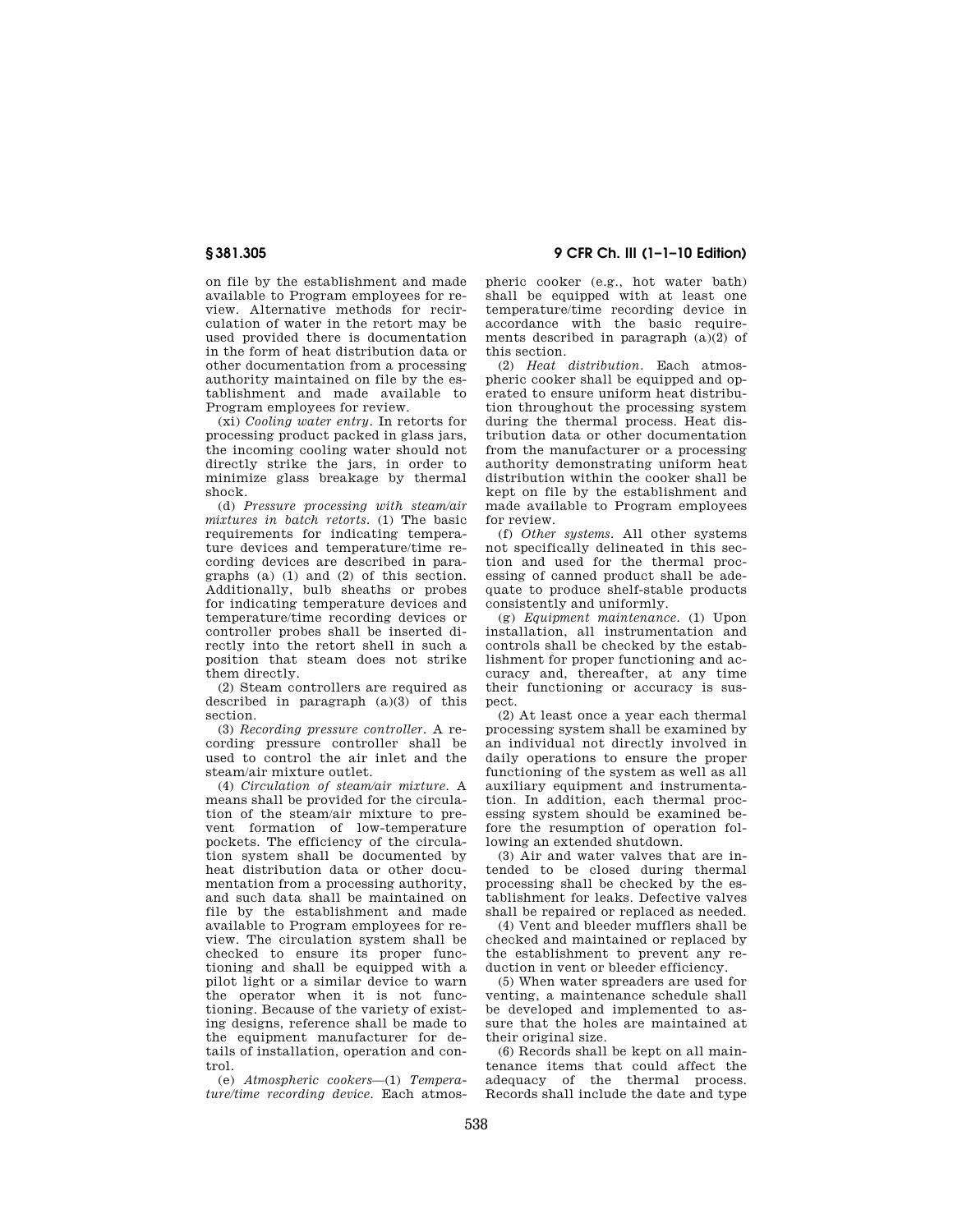on file by the establishment and made available to Program employees for review. Alternative methods for recirculation of water in the retort may be used provided there is documentation in the form of heat distribution data or other documentation from a processing authority maintained on file by the establishment and made available to Program employees for review.

(xi) *Cooling water entry.* In retorts for processing product packed in glass jars, the incoming cooling water should not directly strike the jars, in order to minimize glass breakage by thermal shock.

(d) *Pressure processing with steam/air mixtures in batch retorts.* (1) The basic requirements for indicating temperature devices and temperature/time recording devices are described in paragraphs (a) (1) and (2) of this section. Additionally, bulb sheaths or probes for indicating temperature devices and temperature/time recording devices or controller probes shall be inserted directly into the retort shell in such a position that steam does not strike them directly.

(2) Steam controllers are required as described in paragraph (a)(3) of this section.

(3) *Recording pressure controller.* A recording pressure controller shall be used to control the air inlet and the steam/air mixture outlet.

(4) *Circulation of steam/air mixture.* A means shall be provided for the circulation of the steam/air mixture to prevent formation of low-temperature pockets. The efficiency of the circulation system shall be documented by heat distribution data or other documentation from a processing authority, and such data shall be maintained on file by the establishment and made available to Program employees for review. The circulation system shall be checked to ensure its proper functioning and shall be equipped with a pilot light or a similar device to warn the operator when it is not functioning. Because of the variety of existing designs, reference shall be made to the equipment manufacturer for details of installation, operation and control.

(e) *Atmospheric cookers*—(1) *Temperature/time recording device.* Each atmos-

**§ 381.305 9 CFR Ch. III (1–1–10 Edition)** 

pheric cooker (e.g., hot water bath) shall be equipped with at least one temperature/time recording device in accordance with the basic requirements described in paragraph  $(a)(2)$  of this section.

(2) *Heat distribution.* Each atmospheric cooker shall be equipped and operated to ensure uniform heat distribution throughout the processing system during the thermal process. Heat distribution data or other documentation from the manufacturer or a processing authority demonstrating uniform heat distribution within the cooker shall be kept on file by the establishment and made available to Program employees for review.

(f) *Other systems.* All other systems not specifically delineated in this section and used for the thermal processing of canned product shall be adequate to produce shelf-stable products consistently and uniformly.

(g) *Equipment maintenance.* (1) Upon installation, all instrumentation and controls shall be checked by the establishment for proper functioning and accuracy and, thereafter, at any time their functioning or accuracy is suspect.

(2) At least once a year each thermal processing system shall be examined by an individual not directly involved in daily operations to ensure the proper functioning of the system as well as all auxiliary equipment and instrumentation. In addition, each thermal processing system should be examined before the resumption of operation following an extended shutdown.

(3) Air and water valves that are intended to be closed during thermal processing shall be checked by the establishment for leaks. Defective valves shall be repaired or replaced as needed.

(4) Vent and bleeder mufflers shall be checked and maintained or replaced by the establishment to prevent any reduction in vent or bleeder efficiency.

(5) When water spreaders are used for venting, a maintenance schedule shall be developed and implemented to assure that the holes are maintained at their original size.

(6) Records shall be kept on all maintenance items that could affect the adequacy of the thermal process. Records shall include the date and type